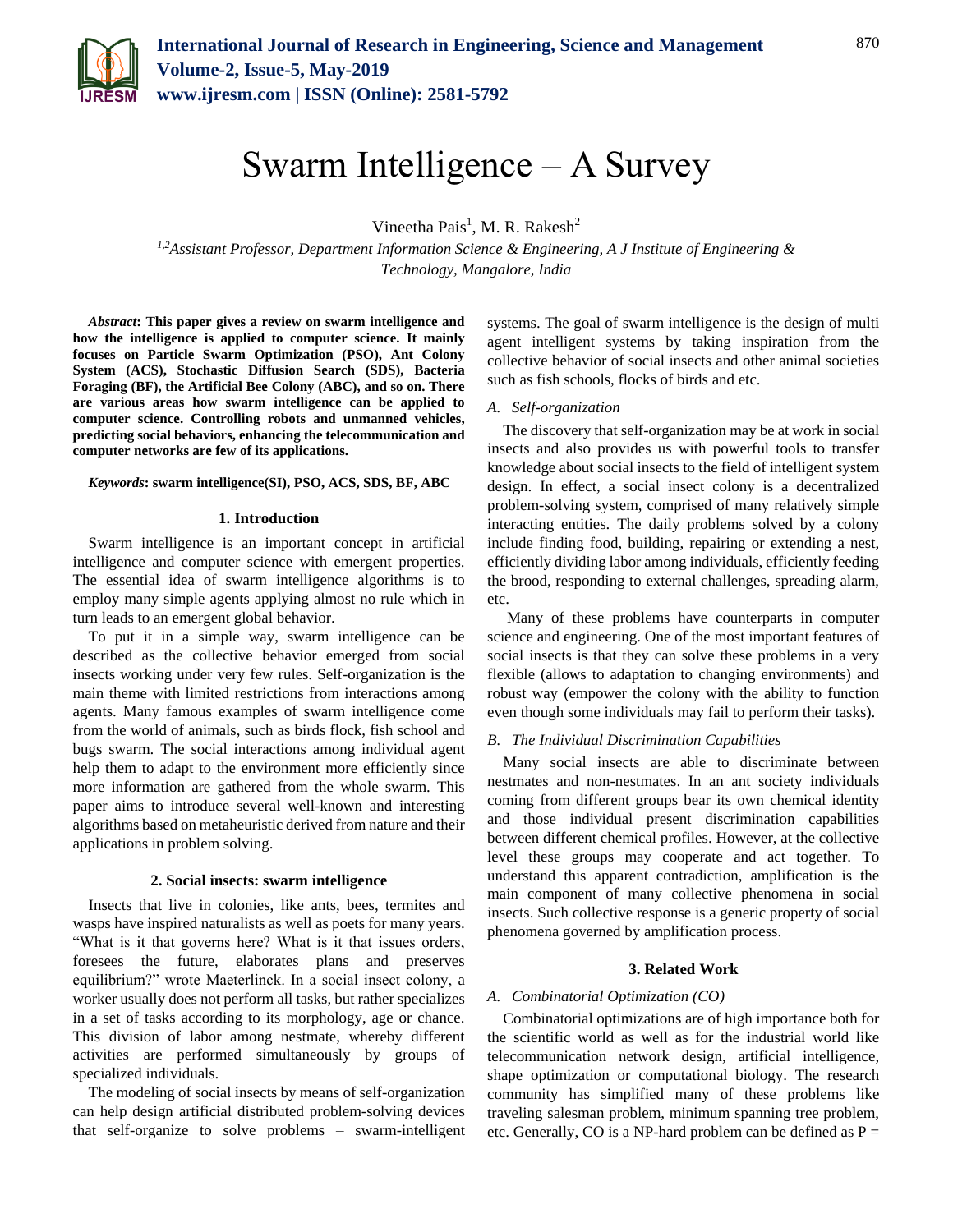

# Swarm Intelligence – A Survey

Vineetha Pais<sup>1</sup>, M. R. Rakesh<sup>2</sup>

*1,2Assistant Professor, Department Information Science & Engineering, A J Institute of Engineering & Technology, Mangalore, India*

*Abstract***: This paper gives a review on swarm intelligence and how the intelligence is applied to computer science. It mainly focuses on Particle Swarm Optimization (PSO), Ant Colony System (ACS), Stochastic Diffusion Search (SDS), Bacteria Foraging (BF), the Artificial Bee Colony (ABC), and so on. There are various areas how swarm intelligence can be applied to computer science. Controlling robots and unmanned vehicles, predicting social behaviors, enhancing the telecommunication and computer networks are few of its applications.**

#### *Keywords***: swarm intelligence(SI), PSO, ACS, SDS, BF, ABC**

## **1. Introduction**

Swarm intelligence is an important concept in artificial intelligence and computer science with emergent properties. The essential idea of swarm intelligence algorithms is to employ many simple agents applying almost no rule which in turn leads to an emergent global behavior.

To put it in a simple way, swarm intelligence can be described as the collective behavior emerged from social insects working under very few rules. Self-organization is the main theme with limited restrictions from interactions among agents. Many famous examples of swarm intelligence come from the world of animals, such as birds flock, fish school and bugs swarm. The social interactions among individual agent help them to adapt to the environment more efficiently since more information are gathered from the whole swarm. This paper aims to introduce several well-known and interesting algorithms based on metaheuristic derived from nature and their applications in problem solving.

# **2. Social insects: swarm intelligence**

Insects that live in colonies, like ants, bees, termites and wasps have inspired naturalists as well as poets for many years. "What is it that governs here? What is it that issues orders, foresees the future, elaborates plans and preserves equilibrium?" wrote Maeterlinck. In a social insect colony, a worker usually does not perform all tasks, but rather specializes in a set of tasks according to its morphology, age or chance. This division of labor among nestmate, whereby different activities are performed simultaneously by groups of specialized individuals.

The modeling of social insects by means of self-organization can help design artificial distributed problem-solving devices that self-organize to solve problems – swarm-intelligent systems. The goal of swarm intelligence is the design of multi agent intelligent systems by taking inspiration from the collective behavior of social insects and other animal societies such as fish schools, flocks of birds and etc.

# *A. Self-organization*

The discovery that self-organization may be at work in social insects and also provides us with powerful tools to transfer knowledge about social insects to the field of intelligent system design. In effect, a social insect colony is a decentralized problem-solving system, comprised of many relatively simple interacting entities. The daily problems solved by a colony include finding food, building, repairing or extending a nest, efficiently dividing labor among individuals, efficiently feeding the brood, responding to external challenges, spreading alarm, etc.

Many of these problems have counterparts in computer science and engineering. One of the most important features of social insects is that they can solve these problems in a very flexible (allows to adaptation to changing environments) and robust way (empower the colony with the ability to function even though some individuals may fail to perform their tasks).

# *B. The Individual Discrimination Capabilities*

Many social insects are able to discriminate between nestmates and non-nestmates. In an ant society individuals coming from different groups bear its own chemical identity and those individual present discrimination capabilities between different chemical profiles. However, at the collective level these groups may cooperate and act together. To understand this apparent contradiction, amplification is the main component of many collective phenomena in social insects. Such collective response is a generic property of social phenomena governed by amplification process.

## **3. Related Work**

## *A. Combinatorial Optimization (CO)*

Combinatorial optimizations are of high importance both for the scientific world as well as for the industrial world like telecommunication network design, artificial intelligence, shape optimization or computational biology. The research community has simplified many of these problems like traveling salesman problem, minimum spanning tree problem, etc. Generally, CO is a NP-hard problem can be defined as  $P =$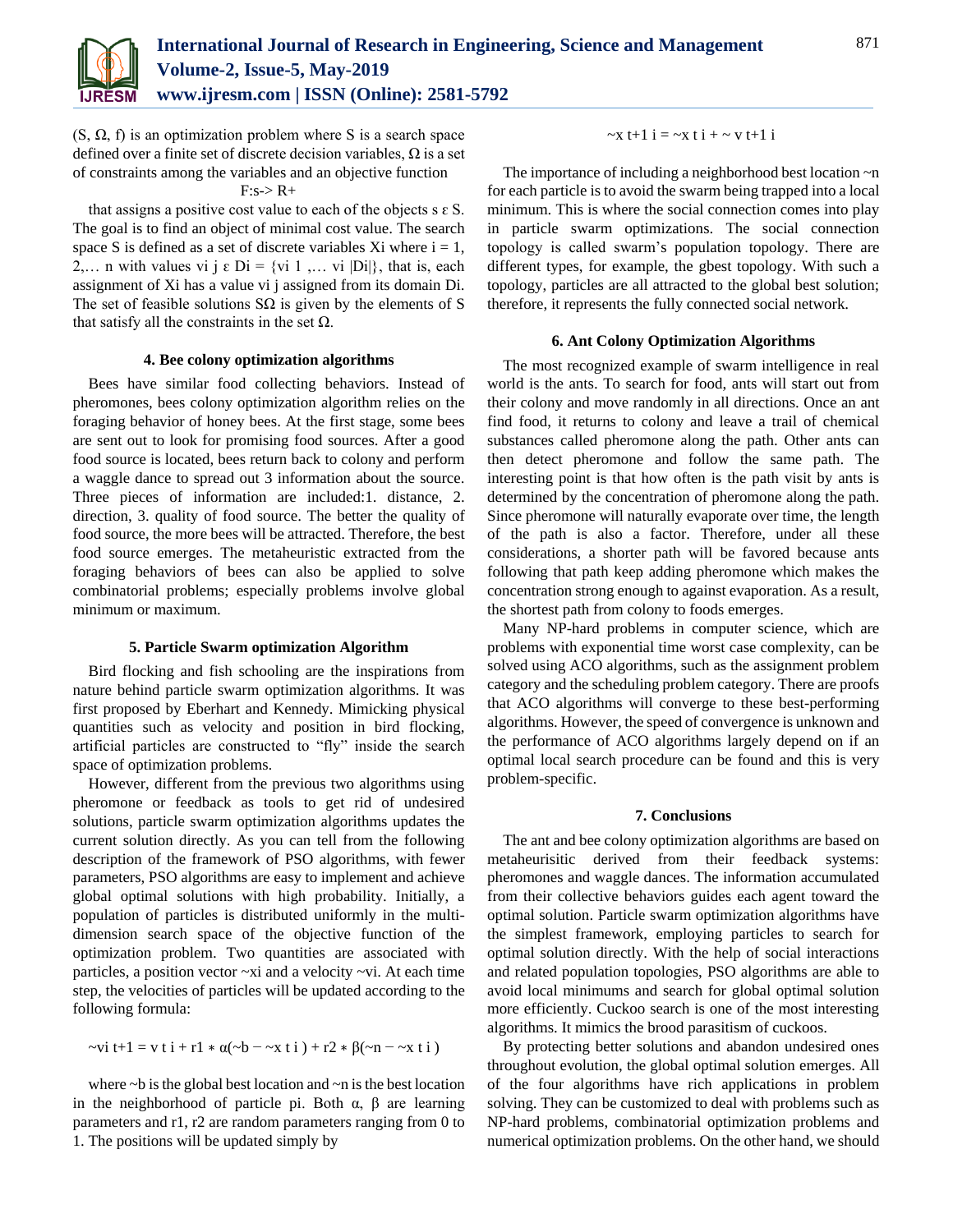

 $(S, \Omega, f)$  is an optimization problem where S is a search space defined over a finite set of discrete decision variables,  $\Omega$  is a set of constraints among the variables and an objective function

# $F: s \to R+$

that assigns a positive cost value to each of the objects  $s \in S$ . The goal is to find an object of minimal cost value. The search space S is defined as a set of discrete variables Xi where  $i = 1$ , 2,... n with values vi j  $\varepsilon$  Di = {vi 1 ,... vi |Di|}, that is, each assignment of Xi has a value vi j assigned from its domain Di. The set of feasible solutions  $S\Omega$  is given by the elements of S that satisfy all the constraints in the set  $Ω$ .

# **4. Bee colony optimization algorithms**

Bees have similar food collecting behaviors. Instead of pheromones, bees colony optimization algorithm relies on the foraging behavior of honey bees. At the first stage, some bees are sent out to look for promising food sources. After a good food source is located, bees return back to colony and perform a waggle dance to spread out 3 information about the source. Three pieces of information are included:1. distance, 2. direction, 3. quality of food source. The better the quality of food source, the more bees will be attracted. Therefore, the best food source emerges. The metaheuristic extracted from the foraging behaviors of bees can also be applied to solve combinatorial problems; especially problems involve global minimum or maximum.

## **5. Particle Swarm optimization Algorithm**

Bird flocking and fish schooling are the inspirations from nature behind particle swarm optimization algorithms. It was first proposed by Eberhart and Kennedy. Mimicking physical quantities such as velocity and position in bird flocking, artificial particles are constructed to "fly" inside the search space of optimization problems.

However, different from the previous two algorithms using pheromone or feedback as tools to get rid of undesired solutions, particle swarm optimization algorithms updates the current solution directly. As you can tell from the following description of the framework of PSO algorithms, with fewer parameters, PSO algorithms are easy to implement and achieve global optimal solutions with high probability. Initially, a population of particles is distributed uniformly in the multidimension search space of the objective function of the optimization problem. Two quantities are associated with particles, a position vector ~xi and a velocity ~vi. At each time step, the velocities of particles will be updated according to the following formula:

$$
-\nu i t + 1 = v t i + r1 * \alpha(-b - \alpha x t i) + r2 * \beta(-n - \alpha x t i)
$$

where  $\nu$  is the global best location and  $\nu$ n is the best location in the neighborhood of particle pi. Both α, β are learning parameters and r1, r2 are random parameters ranging from 0 to 1. The positions will be updated simply by

## $-x + 1 i = -x + i + -v + 1 i$

The importance of including a neighborhood best location ~n for each particle is to avoid the swarm being trapped into a local minimum. This is where the social connection comes into play in particle swarm optimizations. The social connection topology is called swarm's population topology. There are different types, for example, the gbest topology. With such a topology, particles are all attracted to the global best solution; therefore, it represents the fully connected social network.

## **6. Ant Colony Optimization Algorithms**

The most recognized example of swarm intelligence in real world is the ants. To search for food, ants will start out from their colony and move randomly in all directions. Once an ant find food, it returns to colony and leave a trail of chemical substances called pheromone along the path. Other ants can then detect pheromone and follow the same path. The interesting point is that how often is the path visit by ants is determined by the concentration of pheromone along the path. Since pheromone will naturally evaporate over time, the length of the path is also a factor. Therefore, under all these considerations, a shorter path will be favored because ants following that path keep adding pheromone which makes the concentration strong enough to against evaporation. As a result, the shortest path from colony to foods emerges.

Many NP-hard problems in computer science, which are problems with exponential time worst case complexity, can be solved using ACO algorithms, such as the assignment problem category and the scheduling problem category. There are proofs that ACO algorithms will converge to these best-performing algorithms. However, the speed of convergence is unknown and the performance of ACO algorithms largely depend on if an optimal local search procedure can be found and this is very problem-specific.

#### **7. Conclusions**

The ant and bee colony optimization algorithms are based on metaheurisitic derived from their feedback systems: pheromones and waggle dances. The information accumulated from their collective behaviors guides each agent toward the optimal solution. Particle swarm optimization algorithms have the simplest framework, employing particles to search for optimal solution directly. With the help of social interactions and related population topologies, PSO algorithms are able to avoid local minimums and search for global optimal solution more efficiently. Cuckoo search is one of the most interesting algorithms. It mimics the brood parasitism of cuckoos.

By protecting better solutions and abandon undesired ones throughout evolution, the global optimal solution emerges. All of the four algorithms have rich applications in problem solving. They can be customized to deal with problems such as NP-hard problems, combinatorial optimization problems and numerical optimization problems. On the other hand, we should